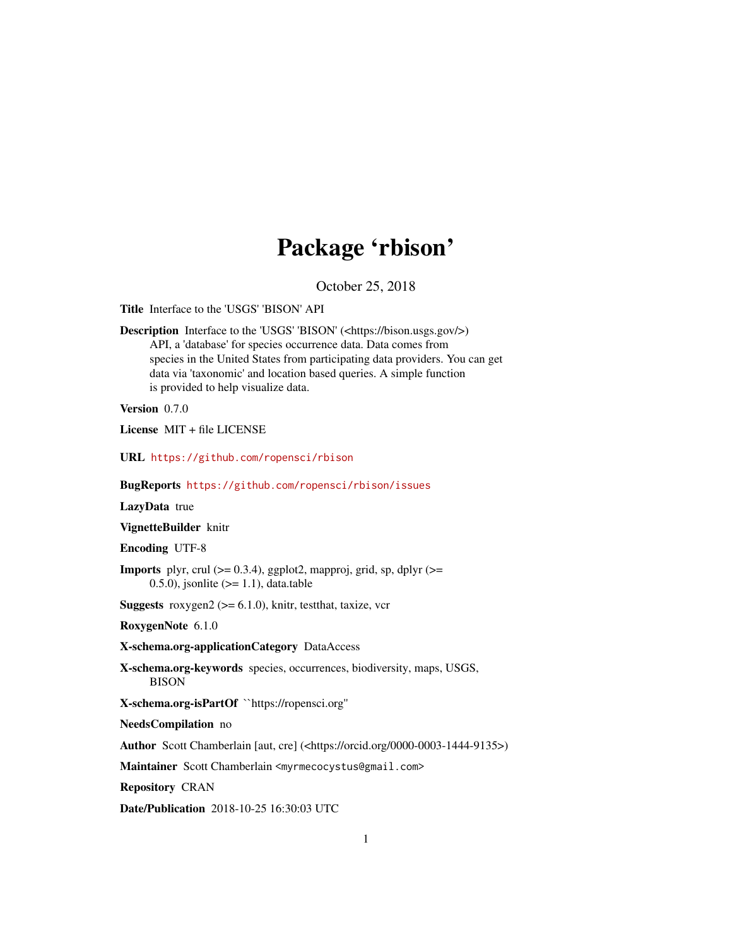## Package 'rbison'

October 25, 2018

<span id="page-0-0"></span>Title Interface to the 'USGS' 'BISON' API

Description Interface to the 'USGS' 'BISON' (<https://bison.usgs.gov/>) API, a 'database' for species occurrence data. Data comes from species in the United States from participating data providers. You can get data via 'taxonomic' and location based queries. A simple function is provided to help visualize data.

Version 0.7.0

License MIT + file LICENSE

URL <https://github.com/ropensci/rbison>

BugReports <https://github.com/ropensci/rbison/issues>

LazyData true

VignetteBuilder knitr

Encoding UTF-8

**Imports** plyr, crul  $(>= 0.3.4)$ , ggplot2, mapproj, grid, sp, dplyr  $(>= 0.3.4)$ 0.5.0), jsonlite  $(>= 1.1)$ , data.table

**Suggests** roxygen2 ( $>= 6.1.0$ ), knitr, test that, taxize, vcr

RoxygenNote 6.1.0

X-schema.org-applicationCategory DataAccess

X-schema.org-keywords species, occurrences, biodiversity, maps, USGS, BISON

X-schema.org-isPartOf ``https://ropensci.org''

NeedsCompilation no

Author Scott Chamberlain [aut, cre] (<https://orcid.org/0000-0003-1444-9135>)

Maintainer Scott Chamberlain <myrmecocystus@gmail.com>

Repository CRAN

Date/Publication 2018-10-25 16:30:03 UTC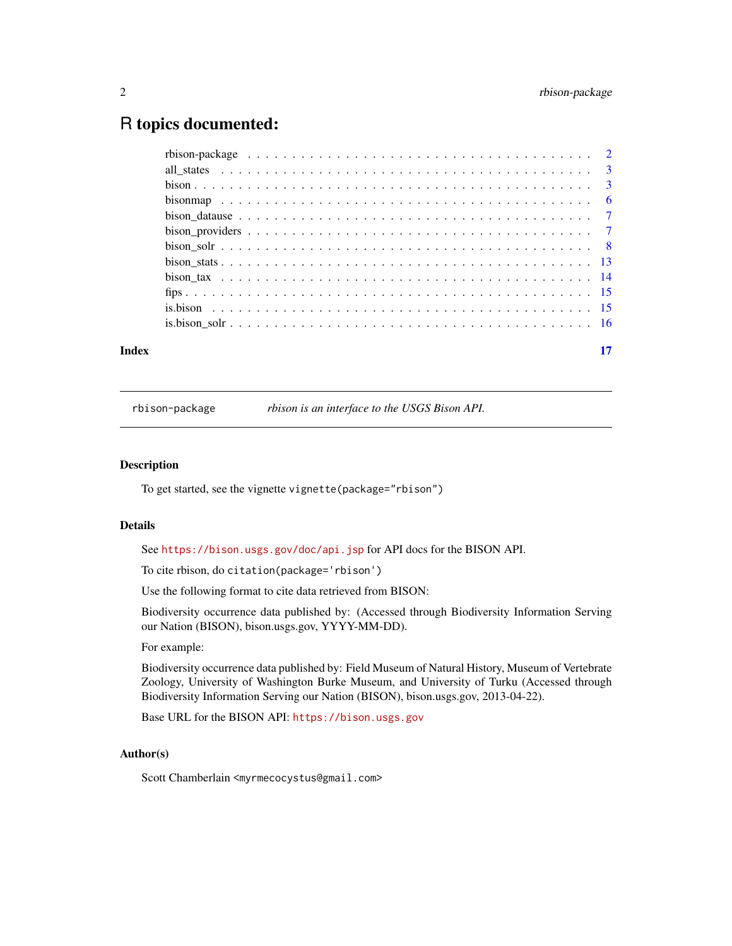### <span id="page-1-0"></span>R topics documented:

| Index | 17 |
|-------|----|

rbison-package *rbison is an interface to the USGS Bison API.*

#### Description

To get started, see the vignette vignette(package="rbison")

#### Details

See <https://bison.usgs.gov/doc/api.jsp> for API docs for the BISON API.

To cite rbison, do citation(package='rbison')

Use the following format to cite data retrieved from BISON:

Biodiversity occurrence data published by: (Accessed through Biodiversity Information Serving our Nation (BISON), bison.usgs.gov, YYYY-MM-DD).

#### For example:

Biodiversity occurrence data published by: Field Museum of Natural History, Museum of Vertebrate Zoology, University of Washington Burke Museum, and University of Turku (Accessed through Biodiversity Information Serving our Nation (BISON), bison.usgs.gov, 2013-04-22).

Base URL for the BISON API: <https://bison.usgs.gov>

#### Author(s)

Scott Chamberlain <myrmecocystus@gmail.com>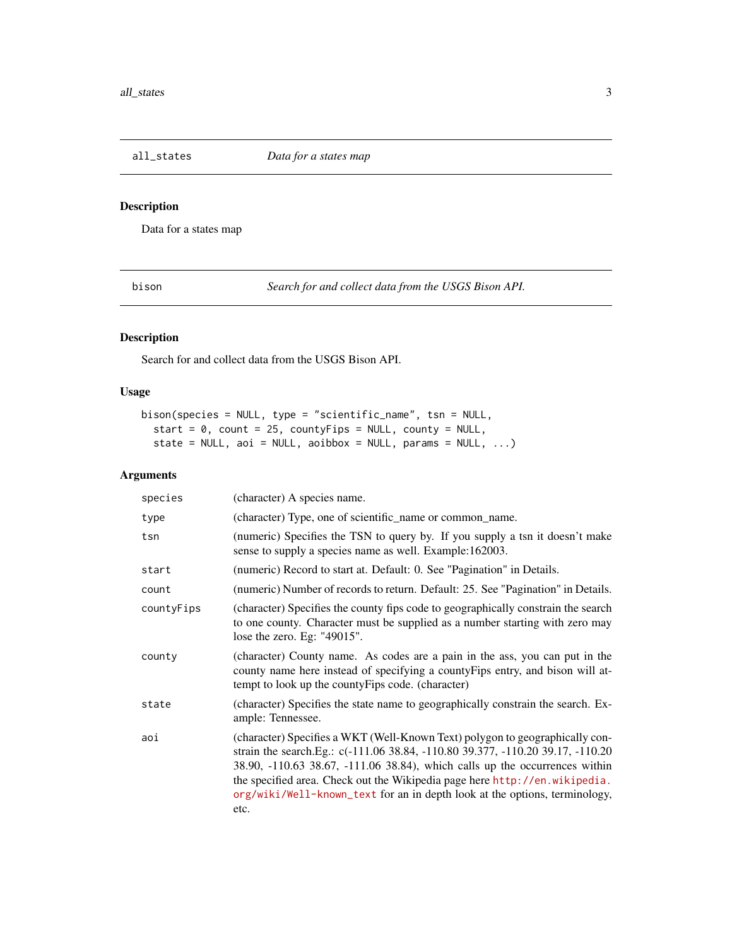<span id="page-2-0"></span>all\_states *Data for a states map*

#### Description

Data for a states map

<span id="page-2-1"></span>bison *Search for and collect data from the USGS Bison API.*

#### Description

Search for and collect data from the USGS Bison API.

#### Usage

```
bison(species = NULL, type = "scientific_name", tsn = NULL,
  start = 0, count = 25, countyFips = NULL, county = NULL,
  state = NULL, aoi = NULL, aoibbox = NULL, params = NULL, \dots)
```
#### Arguments

| species    | (character) A species name.                                                                                                                                                                                                                                                                                                                                                                                       |
|------------|-------------------------------------------------------------------------------------------------------------------------------------------------------------------------------------------------------------------------------------------------------------------------------------------------------------------------------------------------------------------------------------------------------------------|
| type       | (character) Type, one of scientific_name or common_name.                                                                                                                                                                                                                                                                                                                                                          |
| tsn        | (numeric) Specifies the TSN to query by. If you supply a tsn it doesn't make<br>sense to supply a species name as well. Example:162003.                                                                                                                                                                                                                                                                           |
| start      | (numeric) Record to start at. Default: 0. See "Pagination" in Details.                                                                                                                                                                                                                                                                                                                                            |
| count      | (numeric) Number of records to return. Default: 25. See "Pagination" in Details.                                                                                                                                                                                                                                                                                                                                  |
| countyFips | (character) Specifies the county fips code to geographically constrain the search<br>to one county. Character must be supplied as a number starting with zero may<br>lose the zero. Eg: "49015".                                                                                                                                                                                                                  |
| county     | (character) County name. As codes are a pain in the ass, you can put in the<br>county name here instead of specifying a county Fips entry, and bison will at-<br>tempt to look up the county Fips code. (character)                                                                                                                                                                                               |
| state      | (character) Specifies the state name to geographically constrain the search. Ex-<br>ample: Tennessee.                                                                                                                                                                                                                                                                                                             |
| aoi        | (character) Specifies a WKT (Well-Known Text) polygon to geographically con-<br>strain the search.Eg.: c(-111.06 38.84, -110.80 39.377, -110.20 39.17, -110.20<br>38.90, -110.63 38.67, -111.06 38.84), which calls up the occurrences within<br>the specified area. Check out the Wikipedia page here http://en.wikipedia.<br>org/wiki/Well-known_text for an in depth look at the options, terminology,<br>etc. |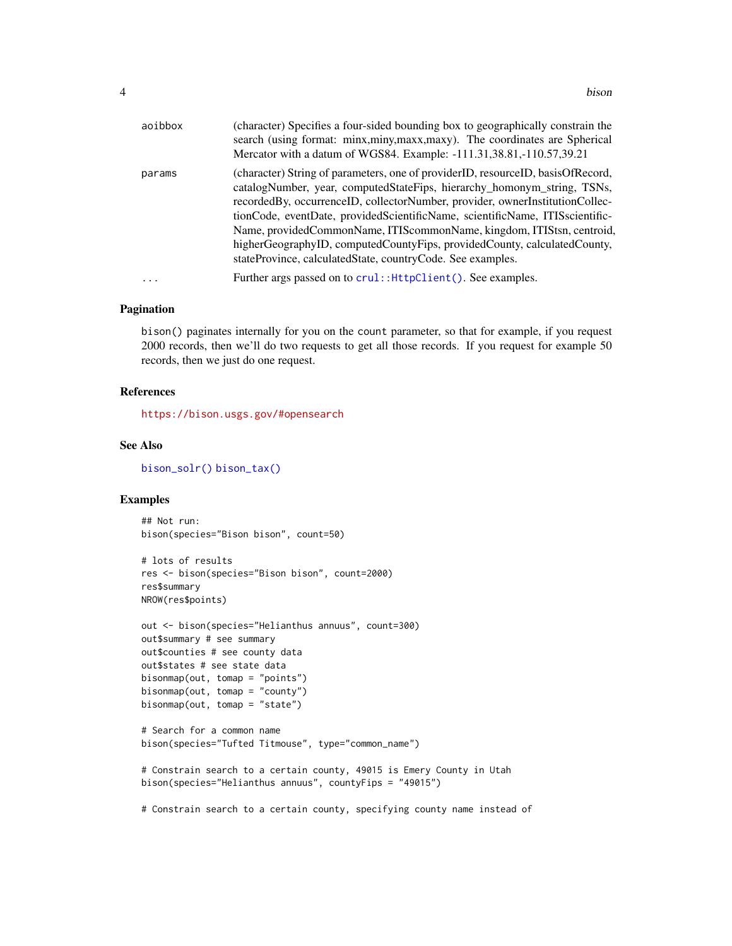<span id="page-3-0"></span>

| aoibbox   | (character) Specifies a four-sided bounding box to geographically constrain the<br>search (using format: minx, miny, maxx, maxy). The coordinates are Spherical<br>Mercator with a datum of WGS84. Example: -111.31,38.81,-110.57,39.21                                                                                                                                                                                                                                                                                                            |
|-----------|----------------------------------------------------------------------------------------------------------------------------------------------------------------------------------------------------------------------------------------------------------------------------------------------------------------------------------------------------------------------------------------------------------------------------------------------------------------------------------------------------------------------------------------------------|
| params    | (character) String of parameters, one of providerID, resourceID, basisOfRecord,<br>catalogNumber, year, computedStateFips, hierarchy_homonym_string, TSNs,<br>recorded By, occurrence ID, collector Number, provider, owner Institution Collec-<br>tionCode, eventDate, providedScientificName, scientificName, ITISscientific-<br>Name, providedCommonName, ITIScommonName, kingdom, ITIStsn, centroid,<br>higherGeographyID, computedCountyFips, providedCounty, calculatedCounty,<br>stateProvince, calculatedState, countryCode. See examples. |
| $\ddotsc$ | Further args passed on to crul:: HttpClient(). See examples.                                                                                                                                                                                                                                                                                                                                                                                                                                                                                       |

#### Pagination

bison() paginates internally for you on the count parameter, so that for example, if you request 2000 records, then we'll do two requests to get all those records. If you request for example 50 records, then we just do one request.

#### References

<https://bison.usgs.gov/#opensearch>

#### See Also

[bison\\_solr\(\)](#page-7-1) [bison\\_tax\(\)](#page-13-1)

#### Examples

```
## Not run:
bison(species="Bison bison", count=50)
```

```
# lots of results
res <- bison(species="Bison bison", count=2000)
res$summary
NROW(res$points)
```

```
out <- bison(species="Helianthus annuus", count=300)
out$summary # see summary
out$counties # see county data
out$states # see state data
bisonmap(out, tomap = "points")
bisonmap(out, tomap = "county")
bisonmap(out, tomap = "state")
```

```
# Search for a common name
bison(species="Tufted Titmouse", type="common_name")
```

```
# Constrain search to a certain county, 49015 is Emery County in Utah
bison(species="Helianthus annuus", countyFips = "49015")
```
# Constrain search to a certain county, specifying county name instead of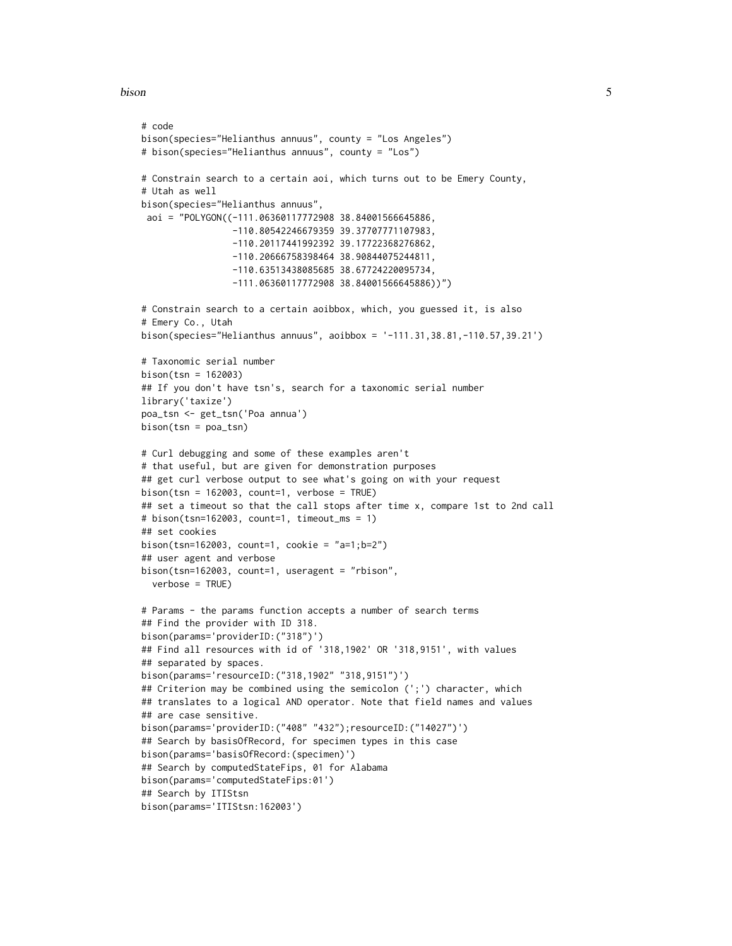```
bison 5
```

```
# code
bison(species="Helianthus annuus", county = "Los Angeles")
# bison(species="Helianthus annuus", county = "Los")
# Constrain search to a certain aoi, which turns out to be Emery County,
# Utah as well
bison(species="Helianthus annuus",
 aoi = "POLYGON((-111.06360117772908 38.84001566645886,
                 -110.80542246679359 39.37707771107983,
                 -110.20117441992392 39.17722368276862,
                 -110.20666758398464 38.90844075244811,
                 -110.63513438085685 38.67724220095734,
                 -111.06360117772908 38.84001566645886))")
# Constrain search to a certain aoibbox, which, you guessed it, is also
# Emery Co., Utah
bison(species="Helianthus annuus", aoibbox = '-111.31,38.81,-110.57,39.21')
# Taxonomic serial number
bison(tsn = 162003)
## If you don't have tsn's, search for a taxonomic serial number
library('taxize')
poa_tsn <- get_tsn('Poa annua')
bison(tsn = poa_tsn)
# Curl debugging and some of these examples aren't
# that useful, but are given for demonstration purposes
## get curl verbose output to see what's going on with your request
bison(tsn = 162003, count=1, verbose = TRUE)
## set a timeout so that the call stops after time x, compare 1st to 2nd call
# bison(tsn=162003, count=1, timeout_ms = 1)
## set cookies
bison(tsn=162003, count=1, cookie = "a=1;b=2")
## user agent and verbose
bison(tsn=162003, count=1, useragent = "rbison",
  verbose = TRUE)
# Params - the params function accepts a number of search terms
## Find the provider with ID 318.
bison(params='providerID:("318")')
## Find all resources with id of '318,1902' OR '318,9151', with values
## separated by spaces.
bison(params='resourceID:("318,1902" "318,9151")')
## Criterion may be combined using the semicolon (';') character, which
## translates to a logical AND operator. Note that field names and values
## are case sensitive.
bison(params='providerID:("408" "432");resourceID:("14027")')
## Search by basisOfRecord, for specimen types in this case
bison(params='basisOfRecord:(specimen)')
## Search by computedStateFips, 01 for Alabama
bison(params='computedStateFips:01')
## Search by ITIStsn
bison(params='ITIStsn:162003')
```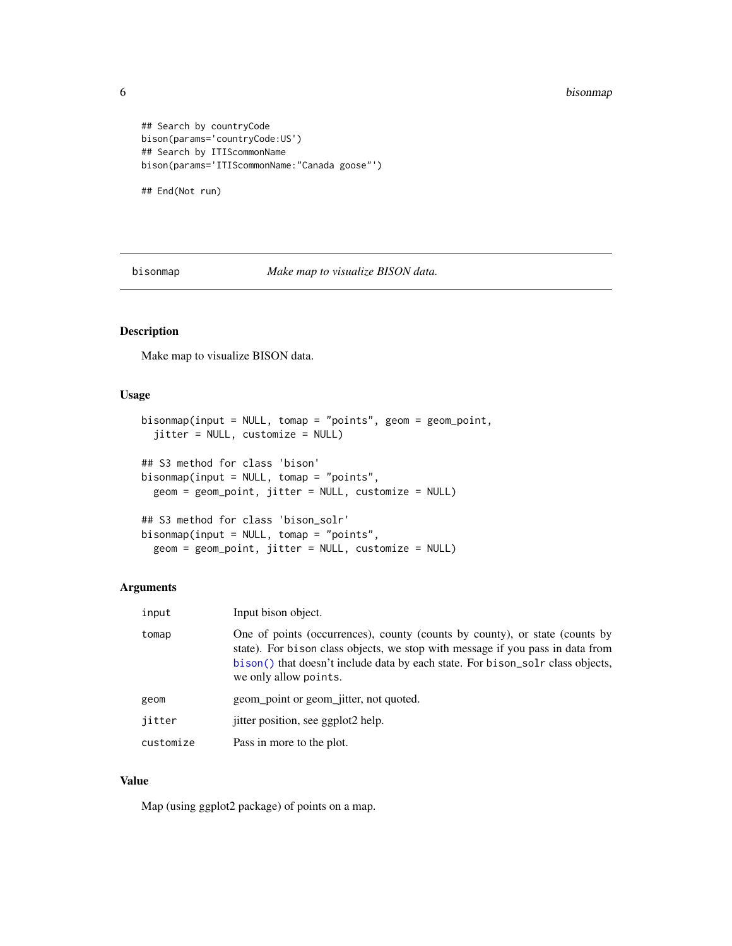#### 6 bisonmap

```
## Search by countryCode
bison(params='countryCode:US')
## Search by ITIScommonName
bison(params='ITIScommonName:"Canada goose"')
```
## End(Not run)

bisonmap *Make map to visualize BISON data.*

#### Description

Make map to visualize BISON data.

#### Usage

```
bisonmap(input = NULL, tomap = "points", geom = geom_point,
  jitter = NULL, customize = NULL)
## S3 method for class 'bison'
bisonmap(input = NULL, tomap = "points",
 geom = geom_point, jitter = NULL, customize = NULL)
## S3 method for class 'bison_solr'
bisonmap(input = NULL, tomap = "points",
  geom = geom_point, jitter = NULL, customize = NULL)
```
#### Arguments

| input     | Input bison object.                                                                                                                                                                                                                                                       |
|-----------|---------------------------------------------------------------------------------------------------------------------------------------------------------------------------------------------------------------------------------------------------------------------------|
| tomap     | One of points (occurrences), county (counts by county), or state (counts by<br>state). For bison class objects, we stop with message if you pass in data from<br>bison() that doesn't include data by each state. For bison_sol r class objects,<br>we only allow points. |
| geom      | geom_point or geom_jitter, not quoted.                                                                                                                                                                                                                                    |
| jitter    | jitter position, see ggplot2 help.                                                                                                                                                                                                                                        |
| customize | Pass in more to the plot.                                                                                                                                                                                                                                                 |

#### Value

Map (using ggplot2 package) of points on a map.

<span id="page-5-0"></span>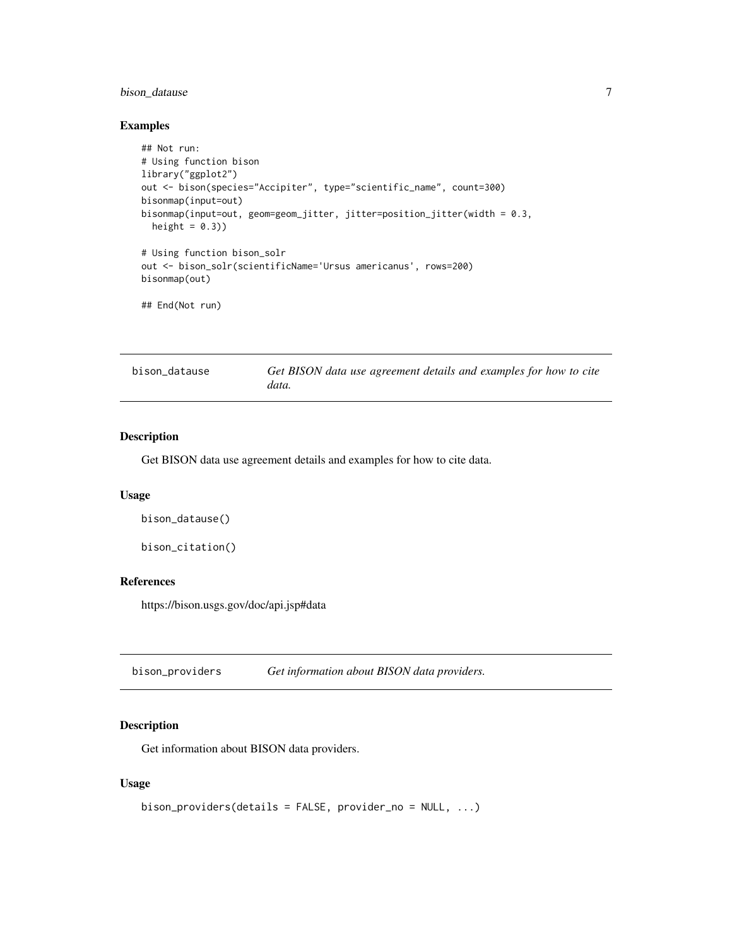#### <span id="page-6-0"></span>bison\_datause 7

#### Examples

```
## Not run:
# Using function bison
library("ggplot2")
out <- bison(species="Accipiter", type="scientific_name", count=300)
bisonmap(input=out)
bisonmap(input=out, geom=geom_jitter, jitter=position_jitter(width = 0.3,
  height = (0.3))
# Using function bison_solr
out <- bison_solr(scientificName='Ursus americanus', rows=200)
bisonmap(out)
## End(Not run)
```

| bison datause | Get BISON data use agreement details and examples for how to cite<br>data. |
|---------------|----------------------------------------------------------------------------|
|               |                                                                            |

#### Description

Get BISON data use agreement details and examples for how to cite data.

#### Usage

```
bison_datause()
```

```
bison_citation()
```
#### References

https://bison.usgs.gov/doc/api.jsp#data

bison\_providers *Get information about BISON data providers.*

#### Description

Get information about BISON data providers.

#### Usage

```
bison_providers(details = FALSE, provider_no = NULL, ...)
```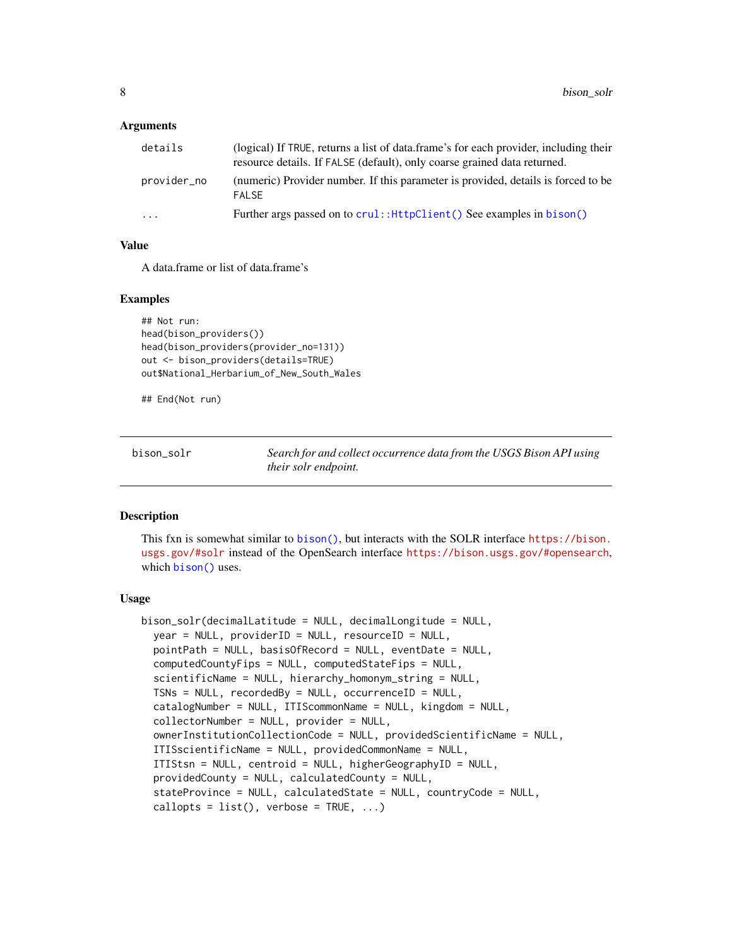#### <span id="page-7-0"></span>Arguments

| details     | (logical) If TRUE, returns a list of data.frame's for each provider, including their<br>resource details. If FALSE (default), only coarse grained data returned. |
|-------------|------------------------------------------------------------------------------------------------------------------------------------------------------------------|
| provider_no | (numeric) Provider number. If this parameter is provided, details is forced to be<br><b>FAI SF</b>                                                               |
| .           | Further args passed on to crul:: HttpClient () See examples in bison ()                                                                                          |

#### Value

A data.frame or list of data.frame's

#### Examples

```
## Not run:
head(bison_providers())
head(bison_providers(provider_no=131))
out <- bison_providers(details=TRUE)
out$National_Herbarium_of_New_South_Wales
```
## End(Not run)

<span id="page-7-1"></span>bison\_solr *Search for and collect occurrence data from the USGS Bison API using their solr endpoint.*

#### Description

This fxn is somewhat similar to [bison\(\)](#page-2-1), but interacts with the SOLR interface [https://bison.](https://bison.usgs.gov/#solr) [usgs.gov/#solr](https://bison.usgs.gov/#solr) instead of the OpenSearch interface <https://bison.usgs.gov/#opensearch>, which [bison\(\)](#page-2-1) uses.

#### Usage

```
bison_solr(decimalLatitude = NULL, decimalLongitude = NULL,
 year = NULL, providerID = NULL, resourceID = NULL,
  pointPath = NULL, basisOfRecord = NULL, eventDate = NULL,
  computedCountyFips = NULL, computedStateFips = NULL,
  scientificName = NULL, hierarchy_homonym_string = NULL,
 TSNs = NULL, recordedBy = NULL, occurrenceID = NULL,
  catalogNumber = NULL, ITIScommonName = NULL, kingdom = NULL,
  collectorNumber = NULL, provider = NULL,
  ownerInstitutionCollectionCode = NULL, providedScientificName = NULL,
  ITISscientificName = NULL, providedCommonName = NULL,
  ITIStsn = NULL, centroid = NULL, higherGeographyID = NULL,
  providedCounty = NULL, calculatedCounty = NULL,
  stateProvince = NULL, calculatedState = NULL, countryCode = NULL,
  callopts = list(), verbose = TRUE, ...)
```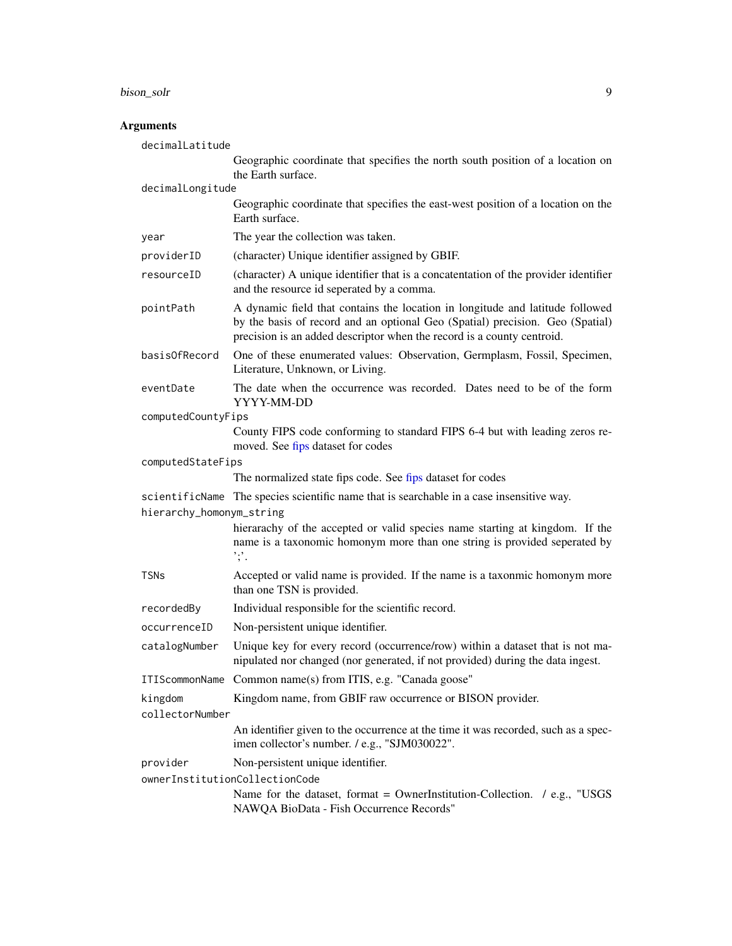<span id="page-8-0"></span>bison\_solr 9

#### **Arguments**

decimalLatitude Geographic coordinate that specifies the north south position of a location on the Earth surface. decimalLongitude Geographic coordinate that specifies the east-west position of a location on the Earth surface. year The year the collection was taken. providerID (character) Unique identifier assigned by GBIF. resourceID (character) A unique identifier that is a concatentation of the provider identifier and the resource id seperated by a comma. pointPath A dynamic field that contains the location in longitude and latitude followed by the basis of record and an optional Geo (Spatial) precision. Geo (Spatial) precision is an added descriptor when the record is a county centroid. basisOfRecord One of these enumerated values: Observation, Germplasm, Fossil, Specimen, Literature, Unknown, or Living. eventDate The date when the occurrence was recorded. Dates need to be of the form YYYY-MM-DD computedCountyFips County FIPS code conforming to standard FIPS 6-4 but with leading zeros removed. See [fips](#page-14-1) dataset for codes computedStateFips The normalized state [fips](#page-14-1) code. See fips dataset for codes scientificName The species scientific name that is searchable in a case insensitive way. hierarchy\_homonym\_string hierarachy of the accepted or valid species name starting at kingdom. If the name is a taxonomic homonym more than one string is provided seperated by ';'. TSNs Accepted or valid name is provided. If the name is a taxonmic homonym more than one TSN is provided. recordedBy Individual responsible for the scientific record. occurrenceID Non-persistent unique identifier. catalogNumber Unique key for every record (occurrence/row) within a dataset that is not manipulated nor changed (nor generated, if not provided) during the data ingest. ITIScommonName Common name(s) from ITIS, e.g. "Canada goose" kingdom Kingdom name, from GBIF raw occurrence or BISON provider. collectorNumber An identifier given to the occurrence at the time it was recorded, such as a specimen collector's number. / e.g., "SJM030022". provider Non-persistent unique identifier. ownerInstitutionCollectionCode Name for the dataset, format = OwnerInstitution-Collection.  $/$  e.g., "USGS NAWQA BioData - Fish Occurrence Records"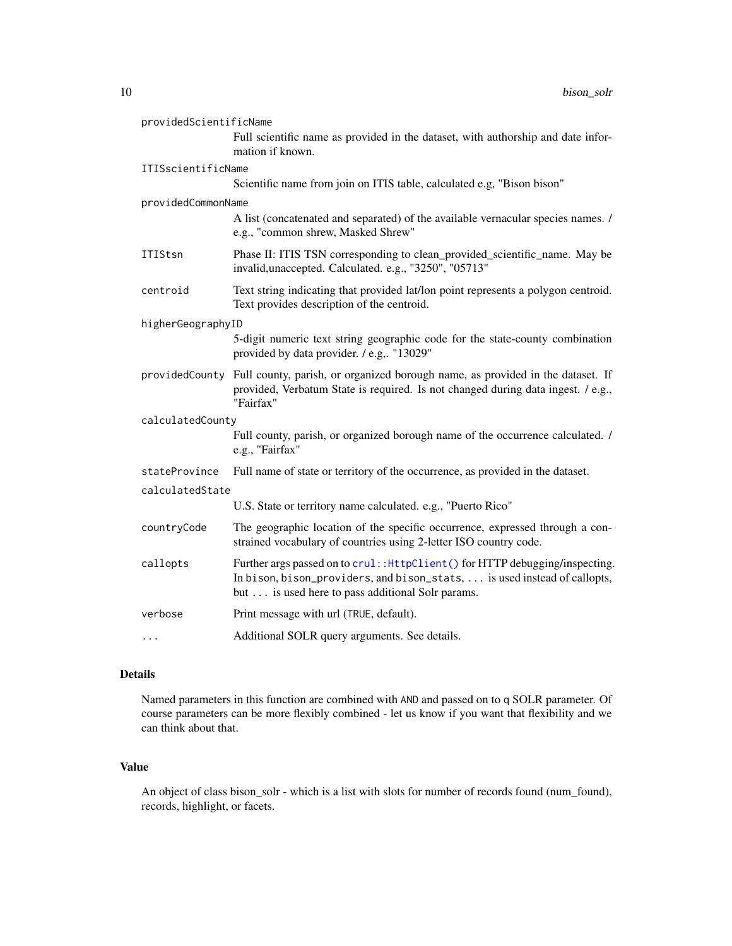<span id="page-9-0"></span>

| providedScientificName |                                                                                                                                                                                                               |  |
|------------------------|---------------------------------------------------------------------------------------------------------------------------------------------------------------------------------------------------------------|--|
|                        | Full scientific name as provided in the dataset, with authorship and date infor-<br>mation if known.                                                                                                          |  |
| ITISscientificName     |                                                                                                                                                                                                               |  |
|                        | Scientific name from join on ITIS table, calculated e.g, "Bison bison"                                                                                                                                        |  |
| providedCommonName     |                                                                                                                                                                                                               |  |
|                        | A list (concatenated and separated) of the available vernacular species names. /<br>e.g., "common shrew, Masked Shrew"                                                                                        |  |
| <b>ITIStsn</b>         | Phase II: ITIS TSN corresponding to clean_provided_scientific_name. May be<br>invalid, unaccepted. Calculated. e.g., "3250", "05713"                                                                          |  |
| centroid               | Text string indicating that provided lat/lon point represents a polygon centroid.<br>Text provides description of the centroid.                                                                               |  |
| higherGeographyID      |                                                                                                                                                                                                               |  |
|                        | 5-digit numeric text string geographic code for the state-county combination<br>provided by data provider. / e.g "13029"                                                                                      |  |
| providedCounty         | Full county, parish, or organized borough name, as provided in the dataset. If<br>provided, Verbatum State is required. Is not changed during data ingest. / e.g.,<br>"Fairfax"                               |  |
| calculatedCounty       |                                                                                                                                                                                                               |  |
|                        | Full county, parish, or organized borough name of the occurrence calculated. /<br>e.g., "Fairfax"                                                                                                             |  |
| stateProvince          | Full name of state or territory of the occurrence, as provided in the dataset.                                                                                                                                |  |
| calculatedState        |                                                                                                                                                                                                               |  |
|                        | U.S. State or territory name calculated. e.g., "Puerto Rico"                                                                                                                                                  |  |
| countryCode            | The geographic location of the specific occurrence, expressed through a con-<br>strained vocabulary of countries using 2-letter ISO country code.                                                             |  |
| callopts               | Further args passed on to crul:: HttpClient() for HTTP debugging/inspecting.<br>In bison, bison_providers, and bison_stats,  is used instead of callopts,<br>but is used here to pass additional Solr params. |  |
| verbose                | Print message with url (TRUE, default).                                                                                                                                                                       |  |
| $\cdots$               | Additional SOLR query arguments. See details.                                                                                                                                                                 |  |

#### Details

Named parameters in this function are combined with AND and passed on to q SOLR parameter. Of course parameters can be more flexibly combined - let us know if you want that flexibility and we can think about that.

#### Value

An object of class bison\_solr - which is a list with slots for number of records found (num\_found), records, highlight, or facets.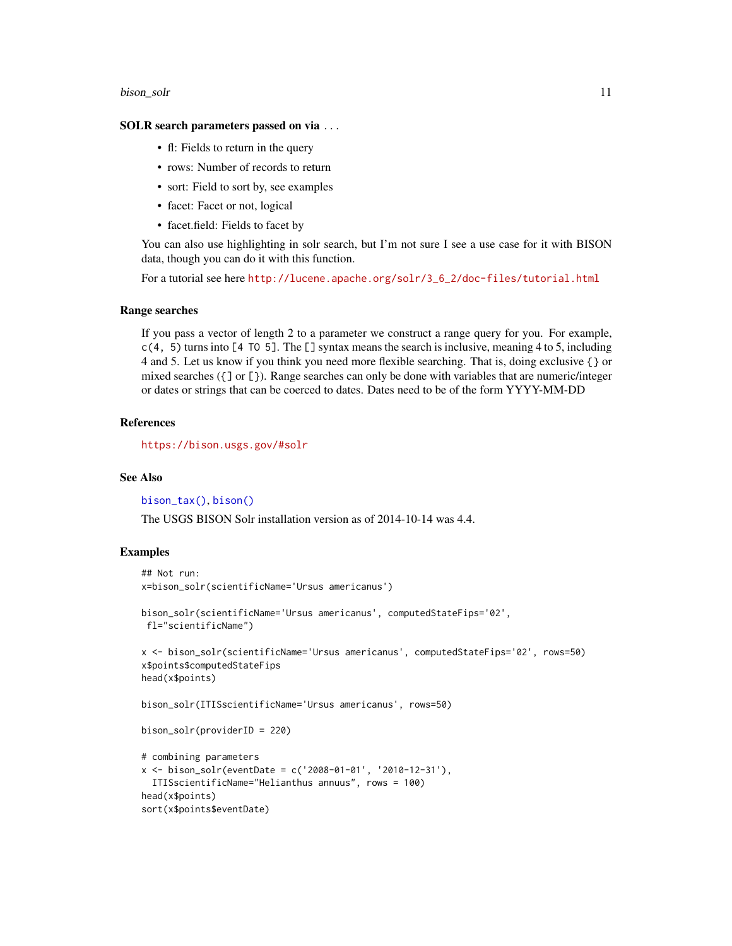#### <span id="page-10-0"></span>bison\_solr 11

#### SOLR search parameters passed on via ...

- fl: Fields to return in the query
- rows: Number of records to return
- sort: Field to sort by, see examples
- facet: Facet or not, logical
- facet.field: Fields to facet by

You can also use highlighting in solr search, but I'm not sure I see a use case for it with BISON data, though you can do it with this function.

For a tutorial see here [http://lucene.apache.org/solr/3\\_6\\_2/doc-files/tutorial.html](http://lucene.apache.org/solr/3_6_2/doc-files/tutorial.html)

#### Range searches

If you pass a vector of length 2 to a parameter we construct a range query for you. For example,  $c(4, 5)$  turns into [4 TO 5]. The [] syntax means the search is inclusive, meaning 4 to 5, including 4 and 5. Let us know if you think you need more flexible searching. That is, doing exclusive {} or mixed searches ({] or [}). Range searches can only be done with variables that are numeric/integer or dates or strings that can be coerced to dates. Dates need to be of the form YYYY-MM-DD

#### References

<https://bison.usgs.gov/#solr>

#### See Also

[bison\\_tax\(\)](#page-13-1), [bison\(\)](#page-2-1)

The USGS BISON Solr installation version as of 2014-10-14 was 4.4.

#### Examples

```
## Not run:
x=bison_solr(scientificName='Ursus americanus')
bison_solr(scientificName='Ursus americanus', computedStateFips='02',
```

```
x <- bison_solr(scientificName='Ursus americanus', computedStateFips='02', rows=50)
x$points$computedStateFips
```

```
head(x$points)
```
fl="scientificName")

bison\_solr(ITISscientificName='Ursus americanus', rows=50)

```
bison_solr(providerID = 220)
```

```
# combining parameters
x \le - bison_solr(eventDate = c('2008-01-01', '2010-12-31'),
 ITISscientificName="Helianthus annuus", rows = 100)
head(x$points)
sort(x$points$eventDate)
```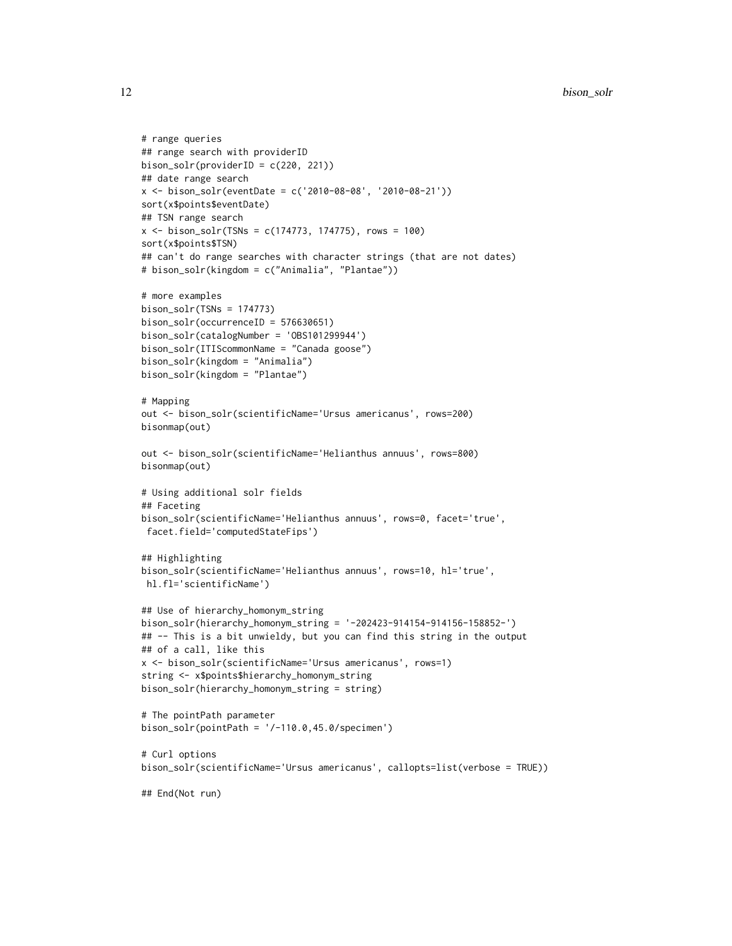```
# range queries
## range search with providerID
bison\_solv(providerID = c(220, 221))## date range search
x \le - bison_solr(eventDate = c('2010-08-08', '2010-08-21'))
sort(x$points$eventDate)
## TSN range search
x \le - bison_solr(TSNs = c(174773, 174775), rows = 100)
sort(x$points$TSN)
## can't do range searches with character strings (that are not dates)
# bison_solr(kingdom = c("Animalia", "Plantae"))
# more examples
bison\_solar(TSNs = 174773)bison_solr(occurrenceID = 576630651)
bison_solr(catalogNumber = 'OBS101299944')
bison_solr(ITIScommonName = "Canada goose")
bison_solr(kingdom = "Animalia")
bison_solr(kingdom = "Plantae")
# Mapping
out <- bison_solr(scientificName='Ursus americanus', rows=200)
bisonmap(out)
out <- bison_solr(scientificName='Helianthus annuus', rows=800)
bisonmap(out)
# Using additional solr fields
## Faceting
bison_solr(scientificName='Helianthus annuus', rows=0, facet='true',
facet.field='computedStateFips')
## Highlighting
bison_solr(scientificName='Helianthus annuus', rows=10, hl='true',
hl.fl='scientificName')
## Use of hierarchy_homonym_string
bison_solr(hierarchy_homonym_string = '-202423-914154-914156-158852-')
## -- This is a bit unwieldy, but you can find this string in the output
## of a call, like this
x <- bison_solr(scientificName='Ursus americanus', rows=1)
string <- x$points$hierarchy_homonym_string
bison_solr(hierarchy_homonym_string = string)
# The pointPath parameter
bison_solr(pointPath = '/-110.0,45.0/specimen')
# Curl options
bison_solr(scientificName='Ursus americanus', callopts=list(verbose = TRUE))
```

```
## End(Not run)
```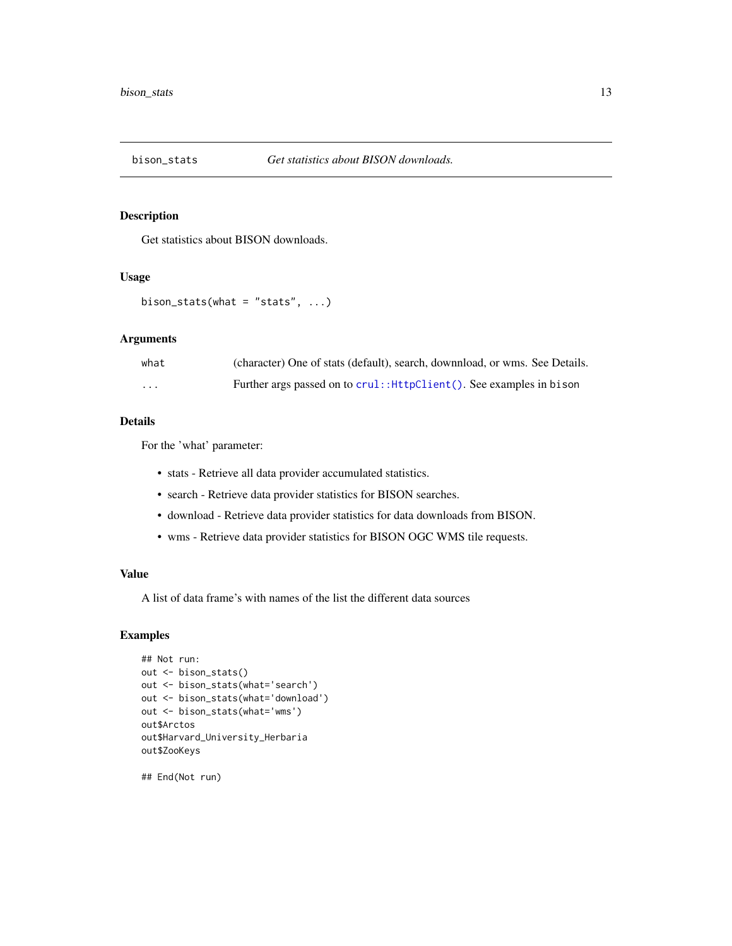<span id="page-12-0"></span>

#### Description

Get statistics about BISON downloads.

#### Usage

```
bison_stats(what = "stats", \ldots)
```
#### Arguments

| what                    | (character) One of stats (default), search, downnload, or wms. See Details. |
|-------------------------|-----------------------------------------------------------------------------|
| $\cdot$ $\cdot$ $\cdot$ | Further args passed on to crul:: HttpClient(). See examples in bison        |

#### Details

For the 'what' parameter:

- stats Retrieve all data provider accumulated statistics.
- search Retrieve data provider statistics for BISON searches.
- download Retrieve data provider statistics for data downloads from BISON.
- wms Retrieve data provider statistics for BISON OGC WMS tile requests.

#### Value

A list of data frame's with names of the list the different data sources

#### Examples

```
## Not run:
out <- bison_stats()
out <- bison_stats(what='search')
out <- bison_stats(what='download')
out <- bison_stats(what='wms')
out$Arctos
out$Harvard_University_Herbaria
out$ZooKeys
```
## End(Not run)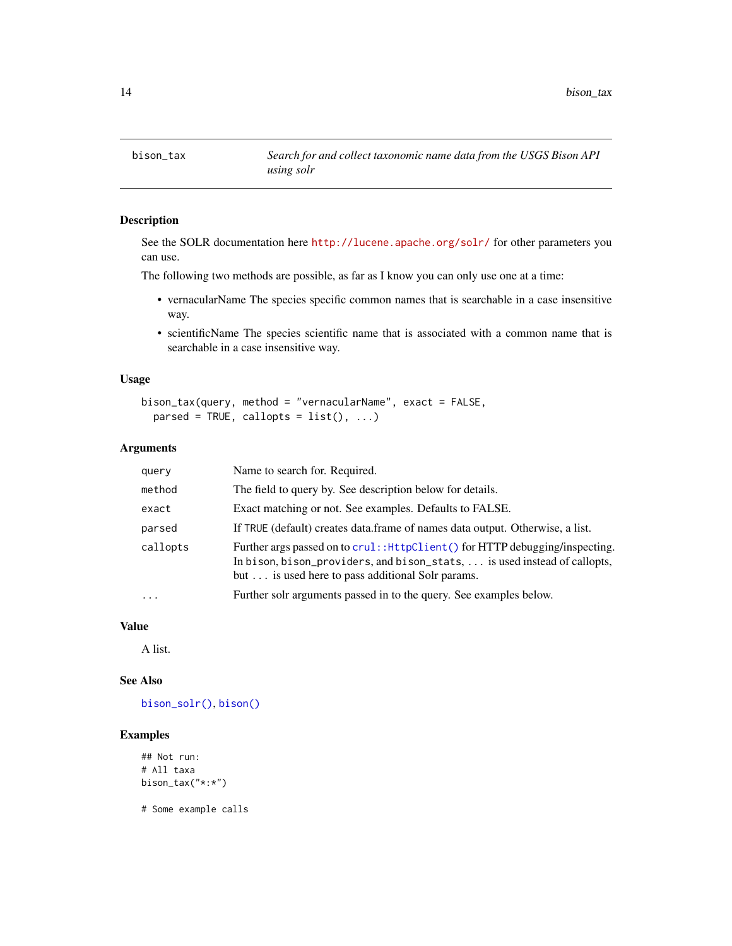<span id="page-13-1"></span><span id="page-13-0"></span>

#### Description

See the SOLR documentation here <http://lucene.apache.org/solr/> for other parameters you can use.

The following two methods are possible, as far as I know you can only use one at a time:

- vernacularName The species specific common names that is searchable in a case insensitive way.
- scientificName The species scientific name that is associated with a common name that is searchable in a case insensitive way.

#### Usage

```
bison_tax(query, method = "vernacularName", exact = FALSE,
 parsed = TRUE, callopts = list(), ...)
```
#### Arguments

| query    | Name to search for. Required.                                                                                                                                                                                 |
|----------|---------------------------------------------------------------------------------------------------------------------------------------------------------------------------------------------------------------|
| method   | The field to query by. See description below for details.                                                                                                                                                     |
| exact    | Exact matching or not. See examples. Defaults to FALSE.                                                                                                                                                       |
| parsed   | If TRUE (default) creates data.frame of names data output. Otherwise, a list.                                                                                                                                 |
| callopts | Further args passed on to crul:: HttpClient() for HTTP debugging/inspecting.<br>In bison, bison_providers, and bison_stats,  is used instead of callopts,<br>but is used here to pass additional Solr params. |
| $\ddots$ | Further solr arguments passed in to the query. See examples below.                                                                                                                                            |
|          |                                                                                                                                                                                                               |

#### Value

A list.

#### See Also

[bison\\_solr\(\)](#page-7-1), [bison\(\)](#page-2-1)

#### Examples

```
## Not run:
# All taxa
bison_tax("*:*")
```
# Some example calls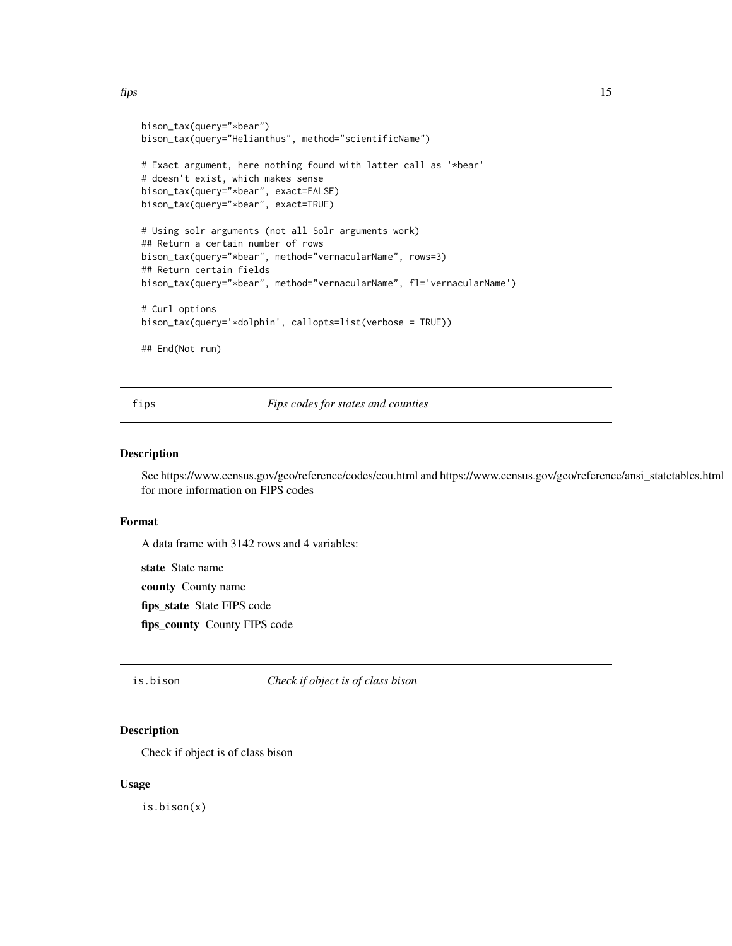<span id="page-14-0"></span> $\frac{fips}{fips}$  15

```
bison_tax(query="*bear")
bison_tax(query="Helianthus", method="scientificName")
# Exact argument, here nothing found with latter call as '*bear'
# doesn't exist, which makes sense
bison_tax(query="*bear", exact=FALSE)
bison_tax(query="*bear", exact=TRUE)
# Using solr arguments (not all Solr arguments work)
## Return a certain number of rows
bison_tax(query="*bear", method="vernacularName", rows=3)
## Return certain fields
bison_tax(query="*bear", method="vernacularName", fl='vernacularName')
# Curl options
bison_tax(query='*dolphin', callopts=list(verbose = TRUE))
## End(Not run)
```
fips *Fips codes for states and counties*

#### Description

See https://www.census.gov/geo/reference/codes/cou.html and https://www.census.gov/geo/reference/ansi\_statetables.html for more information on FIPS codes

#### Format

A data frame with 3142 rows and 4 variables:

state State name

county County name

fips\_state State FIPS code

fips\_county County FIPS code

is.bison *Check if object is of class bison*

#### Description

Check if object is of class bison

#### Usage

is.bison(x)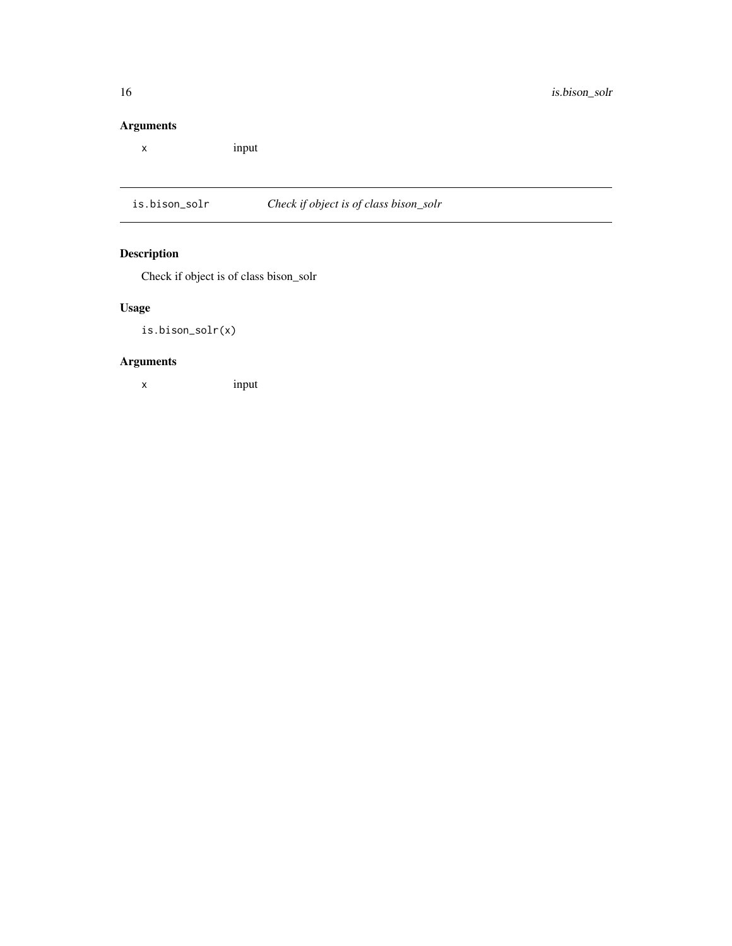#### <span id="page-15-0"></span>Arguments

x input

is.bison\_solr *Check if object is of class bison\_solr*

### Description

Check if object is of class bison\_solr

### Usage

is.bison\_solr(x)

#### Arguments

x input